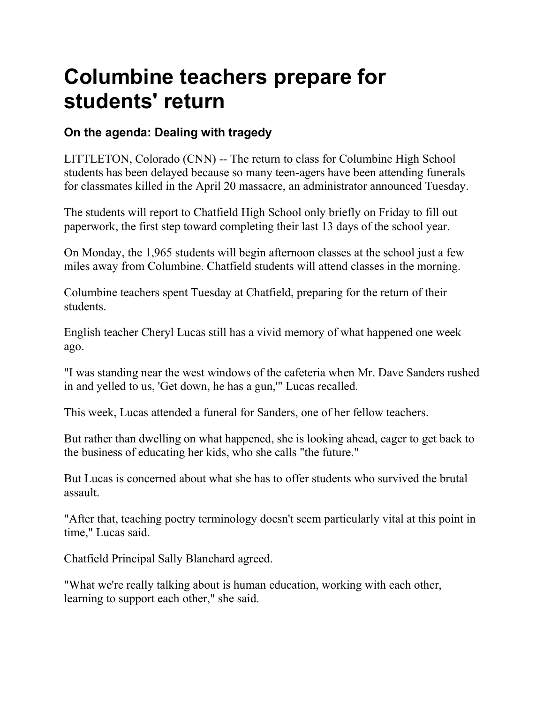## **Columbine teachers prepare for students' return**

## **On the agenda: Dealing with tragedy**

LITTLETON, Colorado (CNN) -- The return to class for Columbine High School students has been delayed because so many teen-agers have been attending funerals for classmates killed in the April 20 massacre, an administrator announced Tuesday.

The students will report to Chatfield High School only briefly on Friday to fill out paperwork, the first step toward completing their last 13 days of the school year.

On Monday, the 1,965 students will begin afternoon classes at the school just a few miles away from Columbine. Chatfield students will attend classes in the morning.

Columbine teachers spent Tuesday at Chatfield, preparing for the return of their students.

English teacher Cheryl Lucas still has a vivid memory of what happened one week ago.

"I was standing near the west windows of the cafeteria when Mr. Dave Sanders rushed in and yelled to us, 'Get down, he has a gun,'" Lucas recalled.

This week, Lucas attended a funeral for Sanders, one of her fellow teachers.

But rather than dwelling on what happened, she is looking ahead, eager to get back to the business of educating her kids, who she calls "the future."

But Lucas is concerned about what she has to offer students who survived the brutal assault.

"After that, teaching poetry terminology doesn't seem particularly vital at this point in time," Lucas said.

Chatfield Principal Sally Blanchard agreed.

"What we're really talking about is human education, working with each other, learning to support each other," she said.